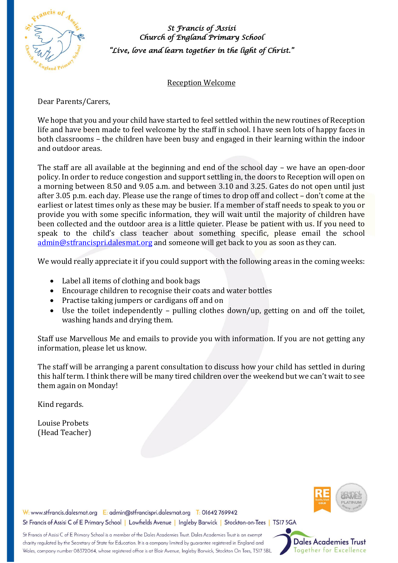

*St Francis of Assisi Church of England Primary School "Live, love and learn together in the light of Christ."* 

Reception Welcome

Dear Parents/Carers,

We hope that you and your child have started to feel settled within the new routines of Reception life and have been made to feel welcome by the staff in school. I have seen lots of happy faces in both classrooms – the children have been busy and engaged in their learning within the indoor and outdoor areas.

The staff are all available at the beginning and end of the school day – we have an open-door policy. In order to reduce congestion and support settling in, the doors to Reception will open on a morning between 8.50 and 9.05 a.m. and between 3.10 and 3.25. Gates do not open until just after 3.05 p.m. each day. Please use the range of times to drop off and collect – don't come at the earliest or latest times only as these may be busier. If a member of staff needs to speak to you or provide you with some specific information, they will wait until the majority of children have been collected and the outdoor area is a little quieter. Please be patient with us. If you need to speak to the child's class teacher about something specific, please email the school [admin@stfrancispri.dalesmat.org](mailto:admin@stfrancispri.dalesmat.org) and someone will get back to you as soon as they can.

We would really appreciate it if you could support with the following areas in the coming weeks:

- Label all items of clothing and book bags
- Encourage children to recognise their coats and water bottles
- Practise taking jumpers or cardigans off and on
- Use the toilet independently pulling clothes down/up, getting on and off the toilet, washing hands and drying them.

Staff use Marvellous Me and emails to provide you with information. If you are not getting any information, please let us know.

The staff will be arranging a parent consultation to discuss how your child has settled in during this half term. I think there will be many tired children over the weekend but we can't wait to see them again on Monday!

Kind regards.

Louise Probets (Head Teacher)



W: www.stfrancis.dalesmat.org E: admin@stfrancispri.dalesmat.org T: 01642 769942 St Francis of Assisi C of E Primary School | Lowfields Avenue | Ingleby Barwick | Stockton-on-Tees | TS17 5GA

St Francis of Assisi C of E Primary School is a member of the Dales Academies Trust. Dales Academies Trust is an exempt charity regulated by the Secretary of State for Education. It is a company limited by guarantee registered in England and Wales, company number 08372064, whose registered office is at Blair Avenue, Ingleby Barwick, Stockton On Tees, TS17 5BL